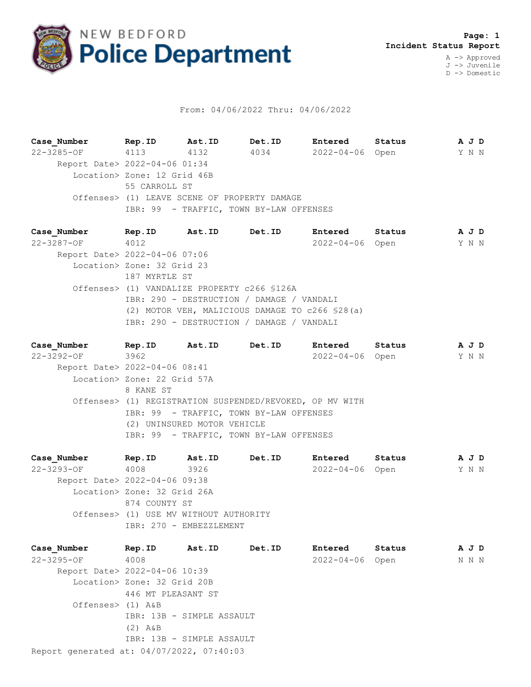

## From: 04/06/2022 Thru: 04/06/2022

**Case\_Number Rep.ID Ast.ID Det.ID Entered Status A J D** 22-3285-OF 4113 4132 4034 2022-04-06 Open Y N N Report Date> 2022-04-06 01:34 Location> Zone: 12 Grid 46B 55 CARROLL ST Offenses> (1) LEAVE SCENE OF PROPERTY DAMAGE IBR: 99 - TRAFFIC, TOWN BY-LAW OFFENSES

**Case\_Number Rep.ID Ast.ID Det.ID Entered Status A J D** 22-3287-OF 4012 2022-04-06 Open Y N N Report Date> 2022-04-06 07:06 Location> Zone: 32 Grid 23 187 MYRTLE ST Offenses> (1) VANDALIZE PROPERTY c266 §126A IBR: 290 - DESTRUCTION / DAMAGE / VANDALI (2) MOTOR VEH, MALICIOUS DAMAGE TO c266 §28(a) IBR: 290 - DESTRUCTION / DAMAGE / VANDALI

**Case\_Number Rep.ID Ast.ID Det.ID Entered Status A J D** 22-3292-OF 3962 2022-04-06 Open Y N N Report Date> 2022-04-06 08:41 Location> Zone: 22 Grid 57A 8 KANE ST Offenses> (1) REGISTRATION SUSPENDED/REVOKED, OP MV WITH IBR: 99 - TRAFFIC, TOWN BY-LAW OFFENSES (2) UNINSURED MOTOR VEHICLE IBR: 99 - TRAFFIC, TOWN BY-LAW OFFENSES

**Case\_Number Rep.ID Ast.ID Det.ID Entered Status A J D** 22-3293-OF 4008 3926 2022-04-06 Open Y N N Report Date> 2022-04-06 09:38 Location> Zone: 32 Grid 26A 874 COUNTY ST Offenses> (1) USE MV WITHOUT AUTHORITY IBR: 270 - EMBEZZLEMENT

Report generated at: 04/07/2022, 07:40:03 **Case\_Number Rep.ID Ast.ID Det.ID Entered Status A J D** 22-3295-OF 4008 2022-04-06 Open N N N Report Date> 2022-04-06 10:39 Location> Zone: 32 Grid 20B 446 MT PLEASANT ST Offenses> (1) A&B IBR: 13B - SIMPLE ASSAULT (2) A&B IBR: 13B - SIMPLE ASSAULT